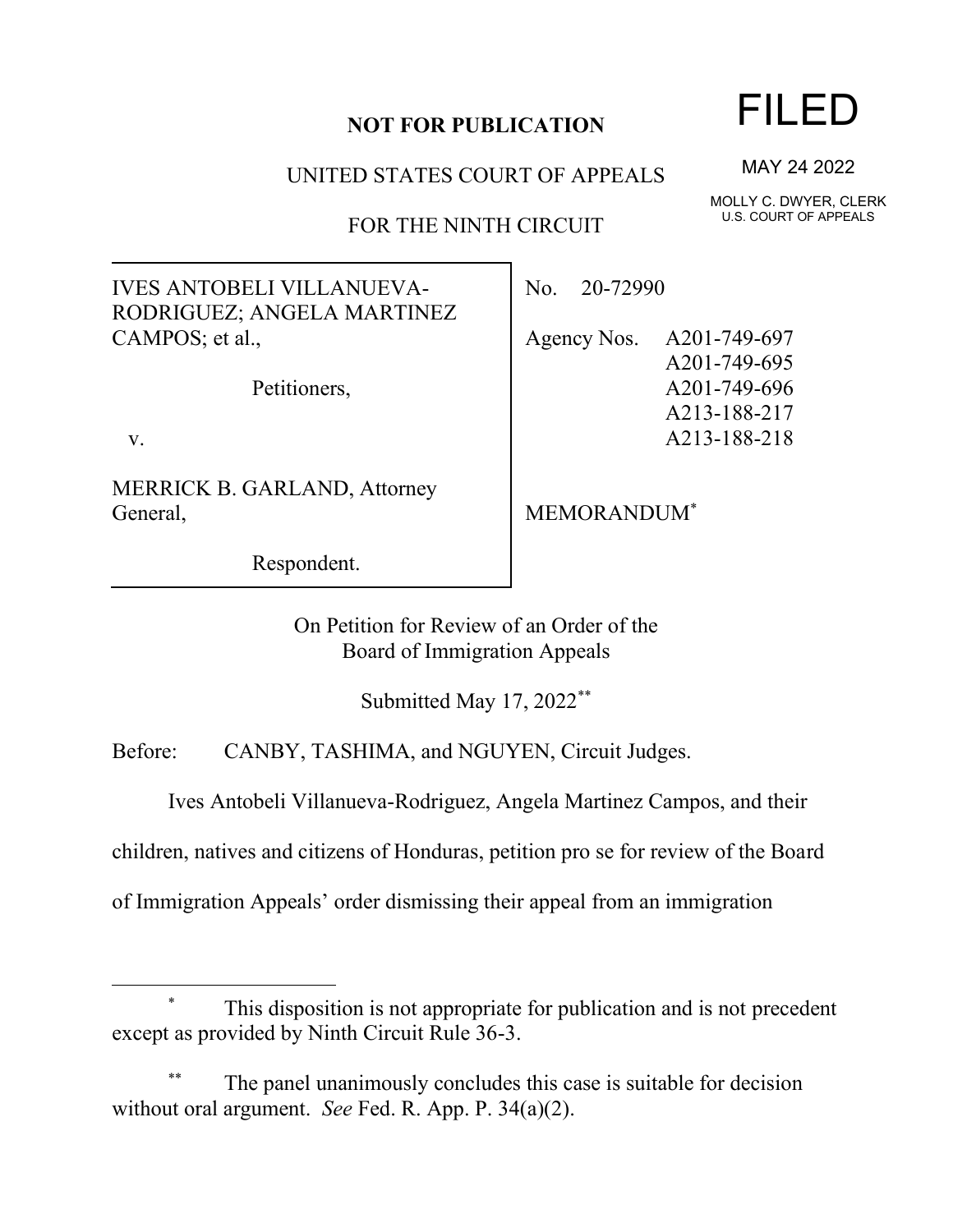## **NOT FOR PUBLICATION**

UNITED STATES COURT OF APPEALS

FOR THE NINTH CIRCUIT

IVES ANTOBELI VILLANUEVA-RODRIGUEZ; ANGELA MARTINEZ CAMPOS; et al.,

Petitioners,

v.

MERRICK B. GARLAND, Attorney General,

Respondent.

No. 20-72990

Agency Nos. A201-749-697 A201-749-695 A201-749-696 A213-188-217 A213-188-218

MEMORANDUM\*

On Petition for Review of an Order of the Board of Immigration Appeals

Submitted May 17, 2022\*\*

Before: CANBY, TASHIMA, and NGUYEN, Circuit Judges.

Ives Antobeli Villanueva-Rodriguez, Angela Martinez Campos, and their

children, natives and citizens of Honduras, petition pro se for review of the Board

of Immigration Appeals' order dismissing their appeal from an immigration

## This disposition is not appropriate for publication and is not precedent except as provided by Ninth Circuit Rule 36-3.

The panel unanimously concludes this case is suitable for decision without oral argument. *See* Fed. R. App. P. 34(a)(2).

## FILED

MAY 24 2022

MOLLY C. DWYER, CLERK U.S. COURT OF APPEALS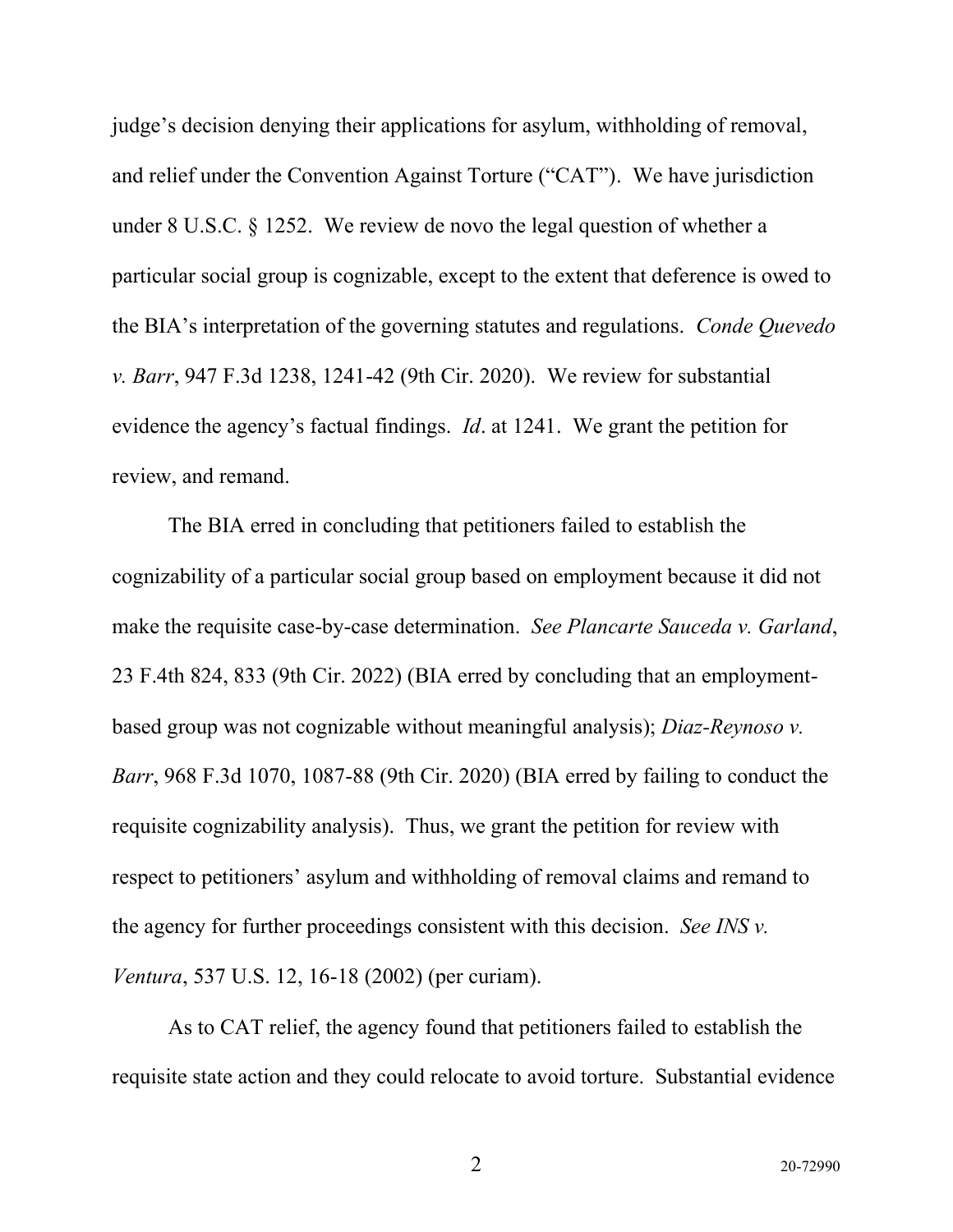judge's decision denying their applications for asylum, withholding of removal, and relief under the Convention Against Torture ("CAT"). We have jurisdiction under 8 U.S.C. § 1252. We review de novo the legal question of whether a particular social group is cognizable, except to the extent that deference is owed to the BIA's interpretation of the governing statutes and regulations. *Conde Quevedo v. Barr*, 947 F.3d 1238, 1241-42 (9th Cir. 2020). We review for substantial evidence the agency's factual findings. *Id*. at 1241. We grant the petition for review, and remand.

The BIA erred in concluding that petitioners failed to establish the cognizability of a particular social group based on employment because it did not make the requisite case-by-case determination. *See Plancarte Sauceda v. Garland*, 23 F.4th 824, 833 (9th Cir. 2022) (BIA erred by concluding that an employmentbased group was not cognizable without meaningful analysis); *Diaz-Reynoso v. Barr*, 968 F.3d 1070, 1087-88 (9th Cir. 2020) (BIA erred by failing to conduct the requisite cognizability analysis). Thus, we grant the petition for review with respect to petitioners' asylum and withholding of removal claims and remand to the agency for further proceedings consistent with this decision. *See INS v. Ventura*, 537 U.S. 12, 16-18 (2002) (per curiam).

As to CAT relief, the agency found that petitioners failed to establish the requisite state action and they could relocate to avoid torture. Substantial evidence